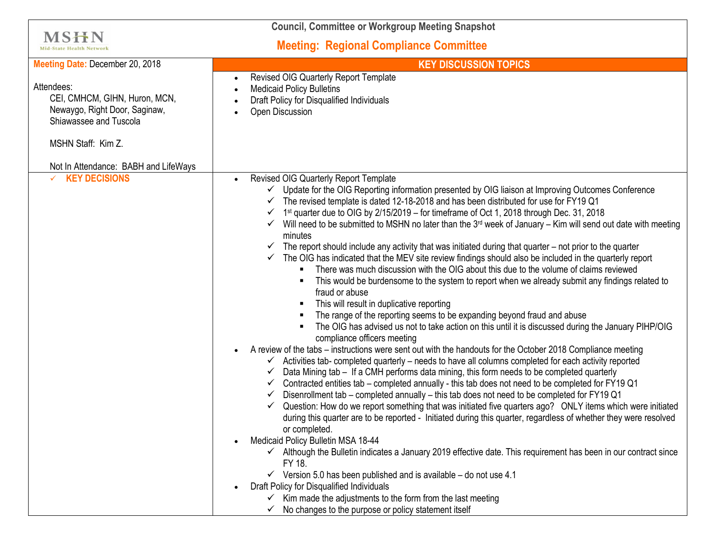| <b>Council, Committee or Workgroup Meeting Snapshot</b>                                                                                                              |                                                                                                                                                                                                                                                                                                                                                                                                                                                                                                                                                                                                                                                                                                                                                                                                                                                                                                                                                                                                                                                                                                                                                                                                                                                                                                                                                                                                                                                                                                                                                                                                                                                                                                                                                                                                                                                                                                                                                                                                                                                                                                                                                                                                                                                                                                                                                                                                                                                                                        |
|----------------------------------------------------------------------------------------------------------------------------------------------------------------------|----------------------------------------------------------------------------------------------------------------------------------------------------------------------------------------------------------------------------------------------------------------------------------------------------------------------------------------------------------------------------------------------------------------------------------------------------------------------------------------------------------------------------------------------------------------------------------------------------------------------------------------------------------------------------------------------------------------------------------------------------------------------------------------------------------------------------------------------------------------------------------------------------------------------------------------------------------------------------------------------------------------------------------------------------------------------------------------------------------------------------------------------------------------------------------------------------------------------------------------------------------------------------------------------------------------------------------------------------------------------------------------------------------------------------------------------------------------------------------------------------------------------------------------------------------------------------------------------------------------------------------------------------------------------------------------------------------------------------------------------------------------------------------------------------------------------------------------------------------------------------------------------------------------------------------------------------------------------------------------------------------------------------------------------------------------------------------------------------------------------------------------------------------------------------------------------------------------------------------------------------------------------------------------------------------------------------------------------------------------------------------------------------------------------------------------------------------------------------------------|
| MSHN<br><b>Mid-State Health Network</b>                                                                                                                              | <b>Meeting: Regional Compliance Committee</b>                                                                                                                                                                                                                                                                                                                                                                                                                                                                                                                                                                                                                                                                                                                                                                                                                                                                                                                                                                                                                                                                                                                                                                                                                                                                                                                                                                                                                                                                                                                                                                                                                                                                                                                                                                                                                                                                                                                                                                                                                                                                                                                                                                                                                                                                                                                                                                                                                                          |
| Meeting Date: December 20, 2018                                                                                                                                      | <b>KEY DISCUSSION TOPICS</b>                                                                                                                                                                                                                                                                                                                                                                                                                                                                                                                                                                                                                                                                                                                                                                                                                                                                                                                                                                                                                                                                                                                                                                                                                                                                                                                                                                                                                                                                                                                                                                                                                                                                                                                                                                                                                                                                                                                                                                                                                                                                                                                                                                                                                                                                                                                                                                                                                                                           |
| Attendees:<br>CEI, CMHCM, GIHN, Huron, MCN,<br>Newaygo, Right Door, Saginaw,<br>Shiawassee and Tuscola<br>MSHN Staff: Kim Z.<br>Not In Attendance: BABH and LifeWays | <b>Revised OIG Quarterly Report Template</b><br><b>Medicaid Policy Bulletins</b><br>Draft Policy for Disqualified Individuals<br>Open Discussion                                                                                                                                                                                                                                                                                                                                                                                                                                                                                                                                                                                                                                                                                                                                                                                                                                                                                                                                                                                                                                                                                                                                                                                                                                                                                                                                                                                                                                                                                                                                                                                                                                                                                                                                                                                                                                                                                                                                                                                                                                                                                                                                                                                                                                                                                                                                       |
| $\times$ KEY DECISIONS                                                                                                                                               | Revised OIG Quarterly Report Template<br>Update for the OIG Reporting information presented by OIG liaison at Improving Outcomes Conference<br>The revised template is dated 12-18-2018 and has been distributed for use for FY19 Q1<br>1 <sup>st</sup> quarter due to OIG by 2/15/2019 – for timeframe of Oct 1, 2018 through Dec. 31, 2018<br>$\checkmark$ Will need to be submitted to MSHN no later than the 3 <sup>rd</sup> week of January – Kim will send out date with meeting<br>minutes<br>The report should include any activity that was initiated during that quarter $-$ not prior to the quarter<br>The OIG has indicated that the MEV site review findings should also be included in the quarterly report<br>$\checkmark$<br>There was much discussion with the OIG about this due to the volume of claims reviewed<br>$\blacksquare$<br>This would be burdensome to the system to report when we already submit any findings related to<br>٠<br>fraud or abuse<br>This will result in duplicative reporting<br>٠<br>The range of the reporting seems to be expanding beyond fraud and abuse<br>The OIG has advised us not to take action on this until it is discussed during the January PIHP/OIG<br>compliance officers meeting<br>A review of the tabs - instructions were sent out with the handouts for the October 2018 Compliance meeting<br>Activities tab- completed quarterly - needs to have all columns completed for each activity reported<br>✓<br>Data Mining tab - If a CMH performs data mining, this form needs to be completed quarterly<br>√<br>Contracted entities tab – completed annually - this tab does not need to be completed for FY19 Q1<br>✓<br>Disenrollment tab – completed annually – this tab does not need to be completed for FY19 Q1<br>✓<br>Question: How do we report something that was initiated five quarters ago? ONLY items which were initiated<br>during this quarter are to be reported - Initiated during this quarter, regardless of whether they were resolved<br>or completed.<br>Medicaid Policy Bulletin MSA 18-44<br>$\checkmark$ Although the Bulletin indicates a January 2019 effective date. This requirement has been in our contract since<br>FY 18.<br>$\checkmark$ Version 5.0 has been published and is available – do not use 4.1<br>Draft Policy for Disqualified Individuals<br>Kim made the adjustments to the form from the last meeting<br>No changes to the purpose or policy statement itself |